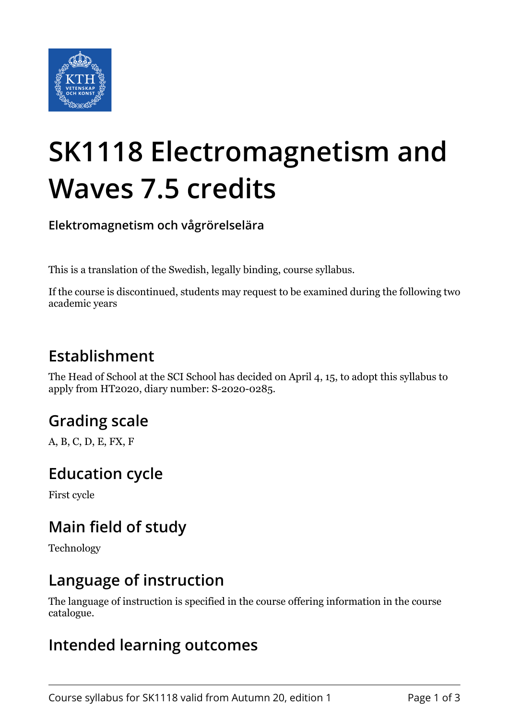

# **SK1118 Electromagnetism and Waves 7.5 credits**

**Elektromagnetism och vågrörelselära**

This is a translation of the Swedish, legally binding, course syllabus.

If the course is discontinued, students may request to be examined during the following two academic years

## **Establishment**

The Head of School at the SCI School has decided on April 4, 15, to adopt this syllabus to apply from HT2020, diary number: S-2020-0285.

## **Grading scale**

A, B, C, D, E, FX, F

#### **Education cycle**

First cycle

## **Main field of study**

Technology

#### **Language of instruction**

The language of instruction is specified in the course offering information in the course catalogue.

#### **Intended learning outcomes**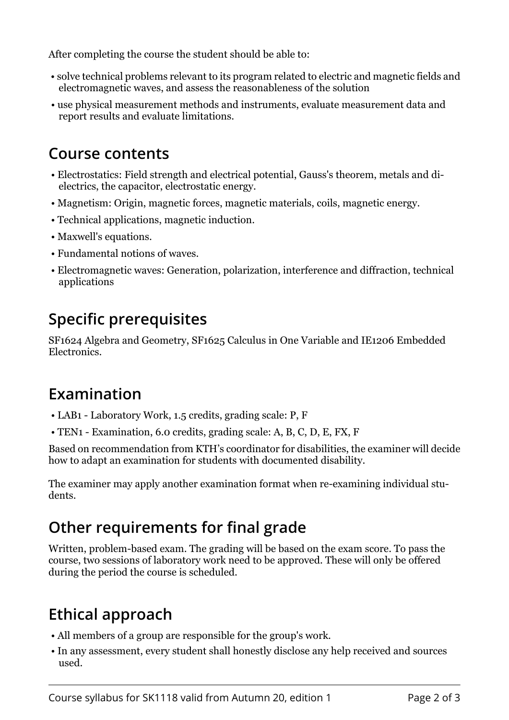After completing the course the student should be able to:

- solve technical problems relevant to its program related to electric and magnetic fields and electromagnetic waves, and assess the reasonableness of the solution
- use physical measurement methods and instruments, evaluate measurement data and report results and evaluate limitations.

#### **Course contents**

- Electrostatics: Field strength and electrical potential, Gauss's theorem, metals and dielectrics, the capacitor, electrostatic energy.
- Magnetism: Origin, magnetic forces, magnetic materials, coils, magnetic energy.
- Technical applications, magnetic induction.
- Maxwell's equations.
- Fundamental notions of waves.
- Electromagnetic waves: Generation, polarization, interference and diffraction, technical applications

# **Specific prerequisites**

SF1624 Algebra and Geometry, SF1625 Calculus in One Variable and IE1206 Embedded Electronics.

#### **Examination**

- LAB1 Laboratory Work, 1.5 credits, grading scale: P, F
- TEN1 Examination, 6.0 credits, grading scale: A, B, C, D, E, FX, F

Based on recommendation from KTH's coordinator for disabilities, the examiner will decide how to adapt an examination for students with documented disability.

The examiner may apply another examination format when re-examining individual students.

# **Other requirements for final grade**

Written, problem-based exam. The grading will be based on the exam score. To pass the course, two sessions of laboratory work need to be approved. These will only be offered during the period the course is scheduled.

# **Ethical approach**

- All members of a group are responsible for the group's work.
- In any assessment, every student shall honestly disclose any help received and sources used.